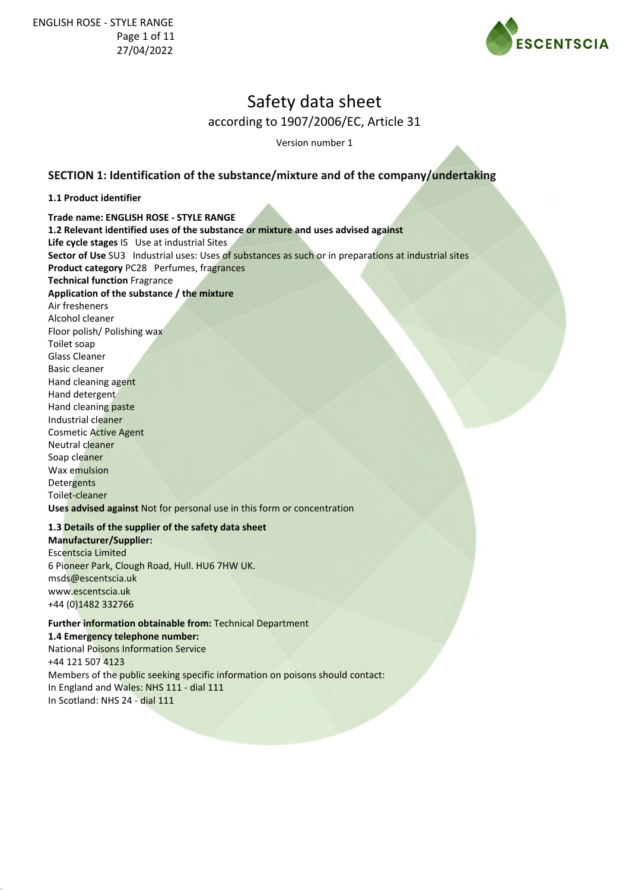

Version number 1

### **SECTION 1: Identification of the substance/mixture and of the company/undertaking**

#### **1.1 Product identifier**

**Trade name: ENGLISH ROSE - STYLE RANGE 1.2 Relevant identified uses of the substance or mixture and uses advised against Life cycle stages** IS Use at industrial Sites **Sector of Use** SU3 Industrial uses: Uses of substances as such or in preparations at industrial sites **Product category** PC28 Perfumes, fragrances **Technical function** Fragrance **Application of the substance / the mixture** Air fresheners Alcohol cleaner Floor polish/ Polishing wax Toilet soap Glass Cleaner Basic cleaner Hand cleaning agent Hand detergent Hand cleaning paste Industrial cleaner Cosmetic Active Agent Neutral cleaner Soap cleaner Wax emulsion **Detergents** Toilet-cleaner **Uses advised against** Not for personal use in this form or concentration

#### **1.3 Details of the supplier of the safety data sheet Manufacturer/Supplier:**

Escentscia Limited 6 Pioneer Park, Clough Road, Hull. HU6 7HW UK. msds@escentscia.uk www.escentscia.uk +44 (0)1482 332766

### **Further information obtainable from:** Technical Department **1.4 Emergency telephone number:** National Poisons Information Service

+44 121 507 4123 Members of the public seeking specific information on poisons should contact: In England and Wales: NHS 111 - dial 111 In Scotland: NHS 24 - dial 111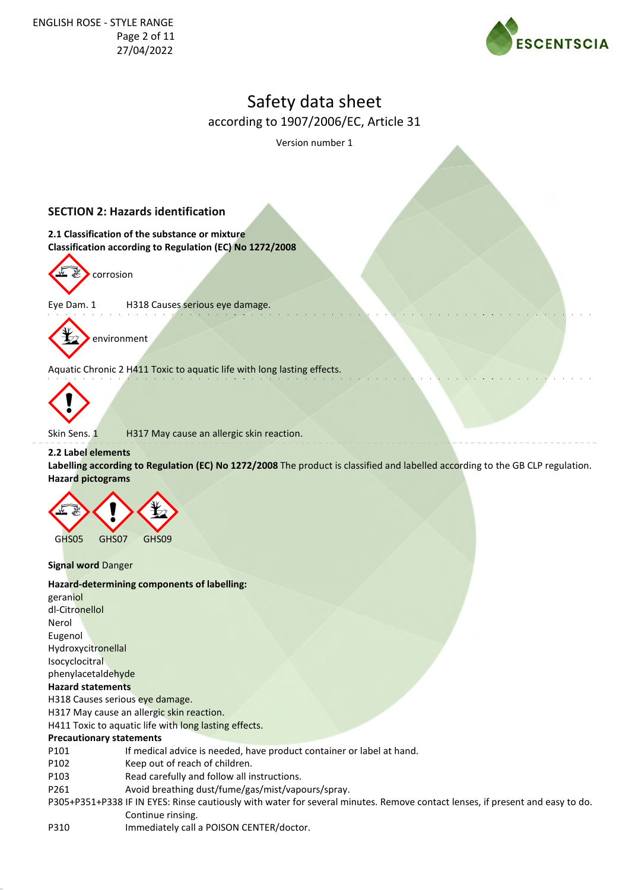

Version number 1

# **SECTION 2: Hazards identification**

**2.1 Classification of the substance or mixture Classification according to Regulation (EC) No 1272/2008**



Eye Dam. 1 H318 Causes serious eye damage.



Aquatic Chronic 2 H411 Toxic to aquatic life with long lasting effects.



Skin Sens. 1 H317 May cause an allergic skin reaction.

### **2.2 Label elements**

**Labelling according to Regulation (EC) No 1272/2008** The product is classified and labelled according to the GB CLP regulation. **Hazard pictograms**



**Signal word** Danger

### **Hazard-determining components of labelling:**

geraniol dl-Citronellol Nerol Eugenol Hydroxycitronellal Isocyclocitral phenylacetaldehyde **Hazard statements** H318 Causes serious eye damage. H317 May cause an allergic skin reaction. H411 Toxic to aquatic life with long lasting effects. **Precautionary statements**

- P101 If medical advice is needed, have product container or label at hand.
- P102 Keep out of reach of children.
- P103 Read carefully and follow all instructions.
- P261 Avoid breathing dust/fume/gas/mist/vapours/spray.
- P305+P351+P338 IF IN EYES: Rinse cautiously with water for several minutes. Remove contact lenses, if present and easy to do. Continue rinsing.
- P310 Immediately call a POISON CENTER/doctor.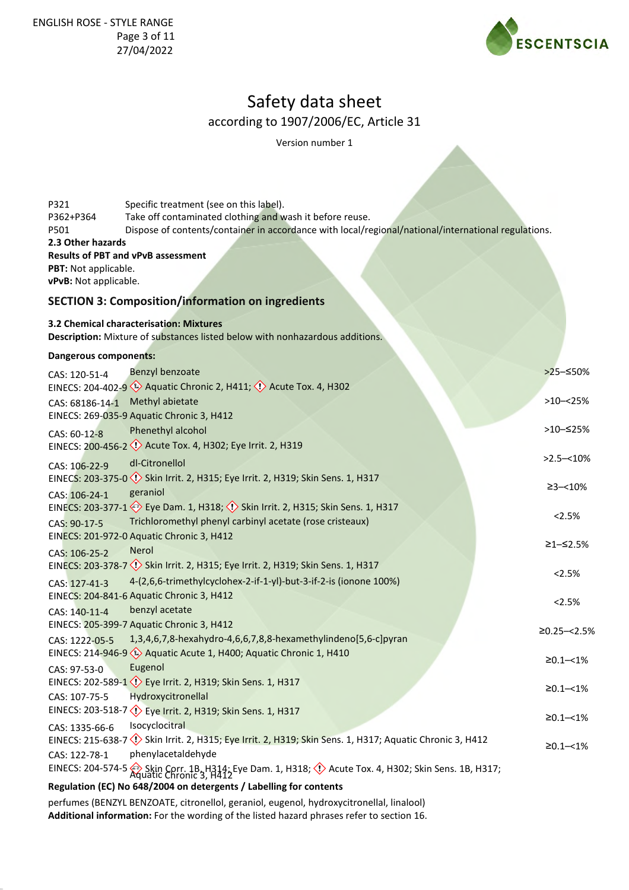

Version number 1

| P321<br>P362+P364                                                                 | Specific treatment (see on this label).<br>Take off contaminated clothing and wash it before reuse.                                                   |                       |  |
|-----------------------------------------------------------------------------------|-------------------------------------------------------------------------------------------------------------------------------------------------------|-----------------------|--|
| P501                                                                              | Dispose of contents/container in accordance with local/regional/national/international regulations.                                                   |                       |  |
| 2.3 Other hazards                                                                 |                                                                                                                                                       |                       |  |
|                                                                                   | <b>Results of PBT and vPvB assessment</b>                                                                                                             |                       |  |
| PBT: Not applicable.                                                              |                                                                                                                                                       |                       |  |
| vPvB: Not applicable.<br><b>SECTION 3: Composition/information on ingredients</b> |                                                                                                                                                       |                       |  |
|                                                                                   | 3.2 Chemical characterisation: Mixtures<br>Description: Mixture of substances listed below with nonhazardous additions.                               |                       |  |
|                                                                                   |                                                                                                                                                       |                       |  |
| Dangerous components:                                                             |                                                                                                                                                       |                       |  |
| CAS: 120-51-4                                                                     | Benzyl benzoate                                                                                                                                       | >25-≤50%              |  |
|                                                                                   | EINECS: 204-402-9 < <a> Aquatic Chronic 2, H411; &lt;<a> </a> Acute Tox. 4, H302</a>                                                                  |                       |  |
| CAS: 68186-14-1                                                                   | Methyl abietate                                                                                                                                       | $>10 - 25%$           |  |
|                                                                                   | EINECS: 269-035-9 Aquatic Chronic 3, H412                                                                                                             | >10-≤25%              |  |
| CAS: 60-12-8                                                                      | Phenethyl alcohol                                                                                                                                     |                       |  |
|                                                                                   | EINECS: 200-456-2 << > Acute Tox. 4, H302; Eye Irrit. 2, H319                                                                                         | $>2.5 - 10\%$         |  |
| CAS: 106-22-9                                                                     | dl-Citronellol                                                                                                                                        |                       |  |
|                                                                                   | EINECS: 203-375-0 << < < Skin Irrit. 2, H315; Eye Irrit. 2, H319; Skin Sens. 1, H317                                                                  | $\geq$ 3-<10%         |  |
| CAS: 106-24-1                                                                     | geraniol                                                                                                                                              |                       |  |
|                                                                                   | EINECS: 203-377-1 $\diamondsuit$ Eye Dam. 1, H318; $\diamondsuit$ Skin Irrit. 2, H315; Skin Sens. 1, H317                                             | 2.5%                  |  |
| CAS: 90-17-5                                                                      | Trichloromethyl phenyl carbinyl acetate (rose cristeaux)                                                                                              |                       |  |
|                                                                                   | EINECS: 201-972-0 Aquatic Chronic 3, H412                                                                                                             | ≥1–≤2.5%              |  |
| CAS: 106-25-2                                                                     | <b>Nerol</b>                                                                                                                                          |                       |  |
|                                                                                   | EINECS: 203-378-7 << <a> <a> <a> Skin Irrit. 2, H315; Eye Irrit. 2, H319; Skin Sens. 1, H317</a></a></a>                                              | 2.5%                  |  |
| CAS: 127-41-3                                                                     | 4-(2,6,6-trimethylcyclohex-2-if-1-yl)-but-3-if-2-is (ionone 100%)                                                                                     |                       |  |
|                                                                                   | EINECS: 204-841-6 Aquatic Chronic 3, H412                                                                                                             | 2.5%                  |  |
| CAS: 140-11-4                                                                     | benzyl acetate                                                                                                                                        |                       |  |
|                                                                                   | EINECS: 205-399-7 Aquatic Chronic 3, H412                                                                                                             | $≥0.25 - < 2.5%$      |  |
| CAS: 1222-05-5                                                                    | 1,3,4,6,7,8-hexahydro-4,6,6,7,8,8-hexamethylindeno[5,6-c]pyran                                                                                        |                       |  |
|                                                                                   | EINECS: 214-946-9 (1) Aquatic Acute 1, H400; Aquatic Chronic 1, H410                                                                                  | $\geq 0.1 - 1\%$      |  |
| CAS: 97-53-0                                                                      | Eugenol                                                                                                                                               |                       |  |
|                                                                                   | EINECS: 202-589-1 Eye Irrit. 2, H319; Skin Sens. 1, H317                                                                                              | $\geq 0.1 - \leq 1\%$ |  |
| CAS: 107-75-5                                                                     | Hydroxycitronellal                                                                                                                                    |                       |  |
|                                                                                   | EINECS: 203-518-7 (!) Eye Irrit. 2, H319; Skin Sens. 1, H317                                                                                          | $\geq 0.1 - 1\%$      |  |
| CAS: 1335-66-6                                                                    | Isocyclocitral<br>EINECS: 215-638-7 (1) Skin Irrit. 2, H315; Eye Irrit. 2, H319; Skin Sens. 1, H317; Aquatic Chronic 3, H412                          |                       |  |
|                                                                                   | phenylacetaldehyde                                                                                                                                    | $\geq 0.1 - 1\%$      |  |
| CAS: 122-78-1                                                                     |                                                                                                                                                       |                       |  |
|                                                                                   | EINECS: 204-574-5 Skin Corr. 1B, H314; Eye Dam. 1, H318; $\Diamond$ Acute Tox. 4, H302; Skin Sens. 1B, H317; Acute Tox. 4, H302; Skin Sens. 1B, H317; |                       |  |
|                                                                                   | Regulation (EC) No 648/2004 on detergents / Labelling for contents                                                                                    |                       |  |

perfumes (BENZYL BENZOATE, citronellol, geraniol, eugenol, hydroxycitronellal, linalool) **Additional information:** For the wording of the listed hazard phrases refer to section 16.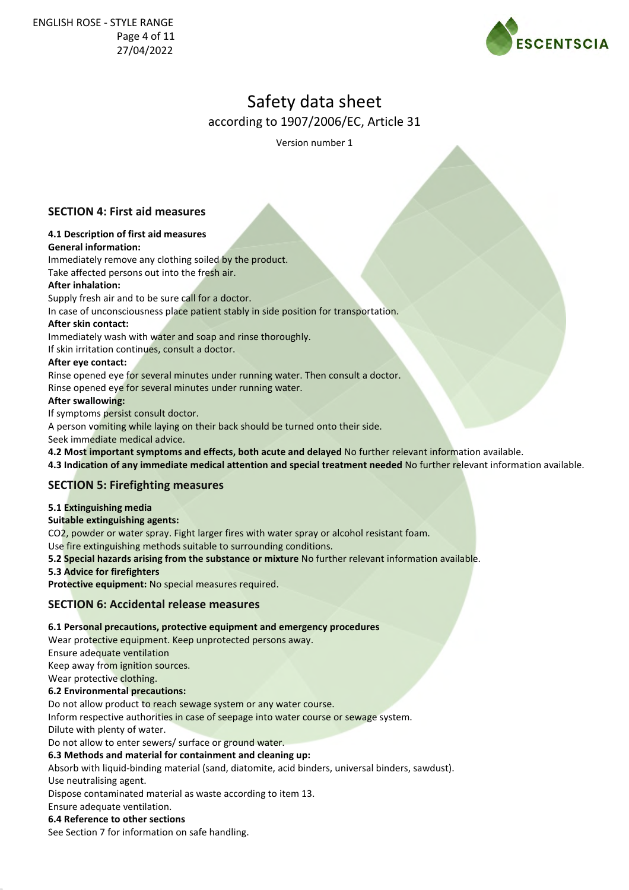

Version number 1

# **SECTION 4: First aid measures**

#### **4.1 Description of first aid measures General information:**

Immediately remove any clothing soiled by the product. Take affected persons out into the fresh air.

### **After inhalation:**

Supply fresh air and to be sure call for a doctor.

In case of unconsciousness place patient stably in side position for transportation.

### **After skin contact:**

Immediately wash with water and soap and rinse thoroughly.

If skin irritation continues, consult a doctor.

### **After eye contact:**

Rinse opened eye for several minutes under running water. Then consult a doctor.

Rinse opened eye for several minutes under running water.

### **After swallowing:**

If symptoms persist consult doctor.

A person vomiting while laying on their back should be turned onto their side.

Seek immediate medical advice.

**4.2 Most important symptoms and effects, both acute and delayed** No further relevant information available.

**4.3 Indication of any immediate medical attention and special treatment needed** No further relevant information available.

### **SECTION 5: Firefighting measures**

### **5.1 Extinguishing media**

### **Suitable extinguishing agents:**

CO2, powder or water spray. Fight larger fires with water spray or alcohol resistant foam.

Use fire extinguishing methods suitable to surrounding conditions.

**5.2 Special hazards arising from the substance or mixture** No further relevant information available.

### **5.3 Advice for firefighters**

**Protective equipment:** No special measures required.

### **SECTION 6: Accidental release measures**

### **6.1 Personal precautions, protective equipment and emergency procedures**

Wear protective equipment. Keep unprotected persons away.

Ensure adequate ventilation

Keep away from ignition sources.

Wear protective clothing.

**6.2 Environmental precautions:**

Do not allow product to reach sewage system or any water course.

Inform respective authorities in case of seepage into water course or sewage system.

Dilute with plenty of water.

Do not allow to enter sewers/ surface or ground water.

**6.3 Methods and material for containment and cleaning up:**

Absorb with liquid-binding material (sand, diatomite, acid binders, universal binders, sawdust). Use neutralising agent.

Dispose contaminated material as waste according to item 13.

Ensure adequate ventilation.

### **6.4 Reference to other sections**

See Section 7 for information on safe handling.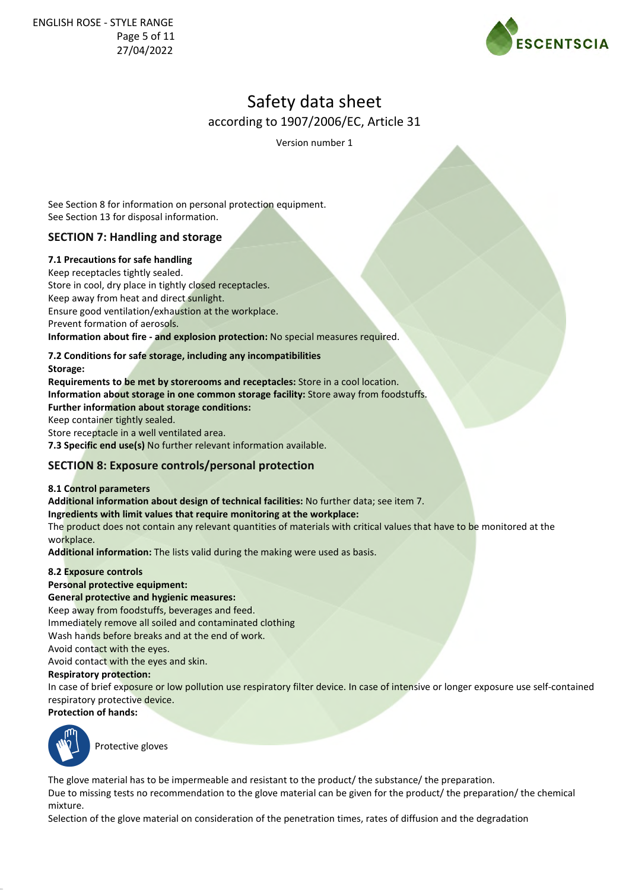

Version number 1

See Section 8 for information on personal protection equipment. See Section 13 for disposal information.

# **SECTION 7: Handling and storage**

**7.1 Precautions for safe handling**

Keep receptacles tightly sealed. Store in cool, dry place in tightly closed receptacles. Keep away from heat and direct sunlight. Ensure good ventilation/exhaustion at the workplace. Prevent formation of aerosols. **Information about fire - and explosion protection:** No special measures required.

# **7.2 Conditions for safe storage, including any incompatibilities**

#### **Storage:**

**Requirements to be met by storerooms and receptacles:** Store in a cool location. **Information about storage in one common storage facility:** Store away from foodstuffs. **Further information about storage conditions:** Keep container tightly sealed.

Store receptacle in a well ventilated area. **7.3 Specific end use(s)** No further relevant information available.

# **SECTION 8: Exposure controls/personal protection**

### **8.1 Control parameters**

**Additional information about design of technical facilities:** No further data; see item 7.

**Ingredients with limit values that require monitoring at the workplace:**

The product does not contain any relevant quantities of materials with critical values that have to be monitored at the workplace.

**Additional information:** The lists valid during the making were used as basis.

### **8.2 Exposure controls**

### **Personal protective equipment:**

**General protective and hygienic measures:**

Keep away from foodstuffs, beverages and feed.

Immediately remove all soiled and contaminated clothing

Wash hands before breaks and at the end of work.

Avoid contact with the eyes.

Avoid contact with the eyes and skin.

### **Respiratory protection:**

In case of brief exposure or low pollution use respiratory filter device. In case of intensive or longer exposure use self-contained respiratory protective device.





Protective gloves

The glove material has to be impermeable and resistant to the product/ the substance/ the preparation. Due to missing tests no recommendation to the glove material can be given for the product/ the preparation/ the chemical mixture.

Selection of the glove material on consideration of the penetration times, rates of diffusion and the degradation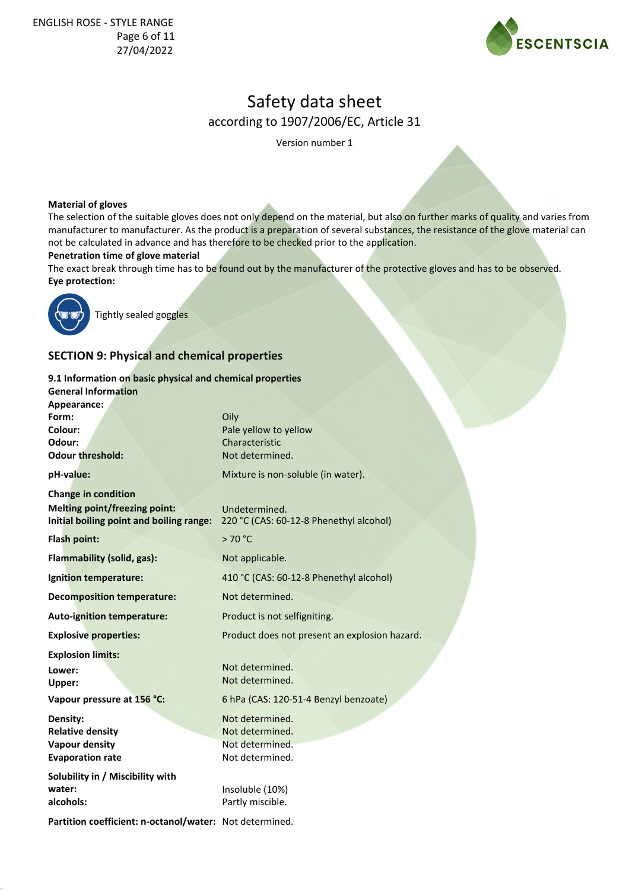

Version number 1

#### **Material of gloves**

The selection of the suitable gloves does not only depend on the material, but also on further marks of quality and varies from manufacturer to manufacturer. As the product is a preparation of several substances, the resistance of the glove material can not be calculated in advance and has therefore to be checked prior to the application.

#### **Penetration time of glove material**

The exact break through time has to be found out by the manufacturer of the protective gloves and has to be observed. **Eye protection:**



Tightly sealed goggles

# **SECTION 9: Physical and chemical properties**

#### **9.1 Information on basic physical and chemical properties General Information Appearance:** Oily Pale yellow to yellow Characteristic Not determined. Mixture is non-soluble (in water). **Form: Colour: Odour: Odour threshold: pH-value: Change in condition Melting point/freezing point: Initial boiling point and boiling range:** 220 °C (CAS: 60-12-8 Phenethyl alcohol) **Flash point:**  $> 70 °C$ **Flammability (solid, gas):** Not applicable. **Ignition temperature:** 410 °C (CAS: 60-12-8 Phenethyl alcohol) **Decomposition temperature:** Not determined. Auto-ignition temperature: Product is not selfigniting. **Explosive properties:** Product does not present an explosion hazard. **Explosion limits:** Not determined. **Lower: Upper:** Not determined. 6 hPa (CAS: 120-51-4 Benzyl benzoate) Not determined. Not determined. Not determined. Not determined. Insoluble (10%) **Vapour pressure at 156 °C: Density: Relative density Vapour density Evaporation rate Solubility in / Miscibility with water: alcohols:** Partly miscible. **Partition coefficient: n-octanol/water:** Not determined. Undetermined.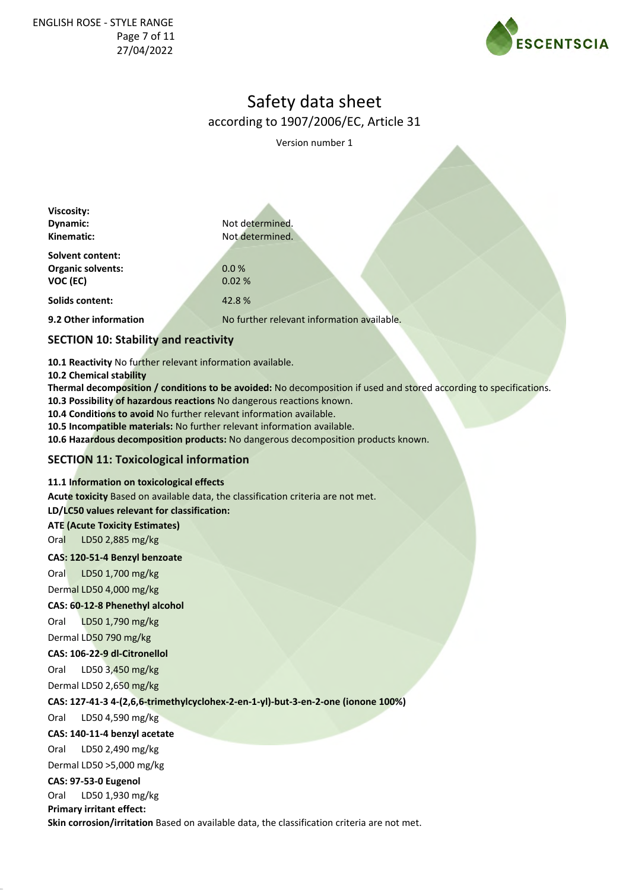

Version number 1

| Viscosity:<br>Dynamic:                                   | Not determined.                            |  |  |
|----------------------------------------------------------|--------------------------------------------|--|--|
| Kinematic:                                               | Not determined.                            |  |  |
| <b>Solvent content:</b><br>Organic solvents:<br>VOC (EC) | 0.0%<br>0.02%                              |  |  |
| Solids content:                                          | 42.8%                                      |  |  |
| 9.2 Other information                                    | No further relevant information available. |  |  |
| <b>SECTION 10: Stability and reactivity</b>              |                                            |  |  |
|                                                          |                                            |  |  |

**10.1 Reactivity** No further relevant information available.

**10.2 Chemical stability**

**Thermal decomposition / conditions to be avoided:** No decomposition if used and stored according to specifications.

**10.3 Possibility of hazardous reactions** No dangerous reactions known.

**10.4 Conditions to avoid** No further relevant information available.

**10.5 Incompatible materials:** No further relevant information available.

**10.6 Hazardous decomposition products:** No dangerous decomposition products known.

### **SECTION 11: Toxicological information**

### **11.1 Information on toxicological effects**

**Acute toxicity** Based on available data, the classification criteria are not met.

**LD/LC50 values relevant for classification:**

#### **ATE (Acute Toxicity Estimates)**

Oral LD50 2,885 mg/kg

#### **CAS: 120-51-4 Benzyl benzoate**

Oral LD50 1,700 mg/kg Dermal LD50 4,000 mg/kg

# **CAS: 60-12-8 Phenethyl alcohol**

Oral LD50 1,790 mg/kg

Dermal LD50 790 mg/kg

### **CAS: 106-22-9 dl-Citronellol**

Oral LD50 3,450 mg/kg Dermal LD50 2,650 mg/kg

**CAS: 127-41-3 4-(2,6,6-trimethylcyclohex-2-en-1-yl)-but-3-en-2-one (ionone 100%)**

Oral LD50 4,590 mg/kg

# **CAS: 140-11-4 benzyl acetate**

Oral LD50 2,490 mg/kg Dermal LD50 >5,000 mg/kg

# **CAS: 97-53-0 Eugenol**

Oral LD50 1,930 mg/kg

**Primary irritant effect:**

**Skin corrosion/irritation** Based on available data, the classification criteria are not met.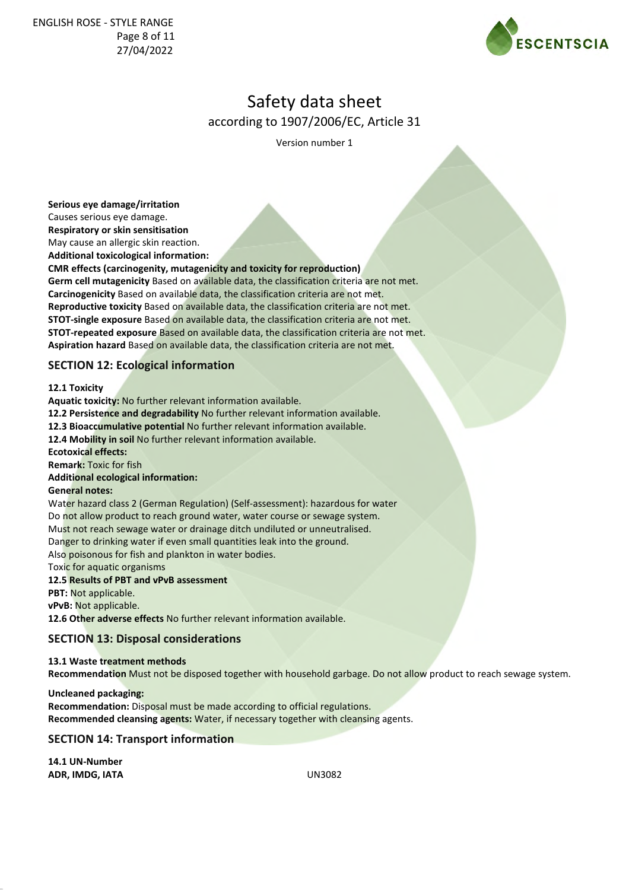

Version number 1

**Serious eye damage/irritation**

Causes serious eye damage. **Respiratory or skin sensitisation**

May cause an allergic skin reaction.

**Additional toxicological information:**

**CMR effects (carcinogenity, mutagenicity and toxicity for reproduction) Germ cell mutagenicity** Based on available data, the classification criteria are not met. **Carcinogenicity** Based on available data, the classification criteria are not met. **Reproductive toxicity** Based on available data, the classification criteria are not met. **STOT-single exposure** Based on available data, the classification criteria are not met. **STOT-repeated exposure** Based on available data, the classification criteria are not met. **Aspiration hazard** Based on available data, the classification criteria are not met.

# **SECTION 12: Ecological information**

**12.1 Toxicity**

**Aquatic toxicity:** No further relevant information available. **12.2 Persistence and degradability** No further relevant information available. **12.3 Bioaccumulative potential** No further relevant information available. **12.4 Mobility in soil** No further relevant information available. **Ecotoxical effects: Remark:** Toxic for fish **Additional ecological information: General notes:** Water hazard class 2 (German Regulation) (Self-assessment): hazardous for water Do not allow product to reach ground water, water course or sewage system. Must not reach sewage water or drainage ditch undiluted or unneutralised. Danger to drinking water if even small quantities leak into the ground. Also poisonous for fish and plankton in water bodies. Toxic for aquatic organisms **12.5 Results of PBT and vPvB assessment**

**PBT:** Not applicable.

**vPvB:** Not applicable.

**12.6 Other adverse effects** No further relevant information available.

# **SECTION 13: Disposal considerations**

### **13.1 Waste treatment methods**

**Recommendation** Must not be disposed together with household garbage. Do not allow product to reach sewage system.

**Uncleaned packaging: Recommendation:** Disposal must be made according to official regulations. **Recommended cleansing agents:** Water, if necessary together with cleansing agents.

**SECTION 14: Transport information**

**14.1 UN-Number ADR, IMDG, IATA** UN3082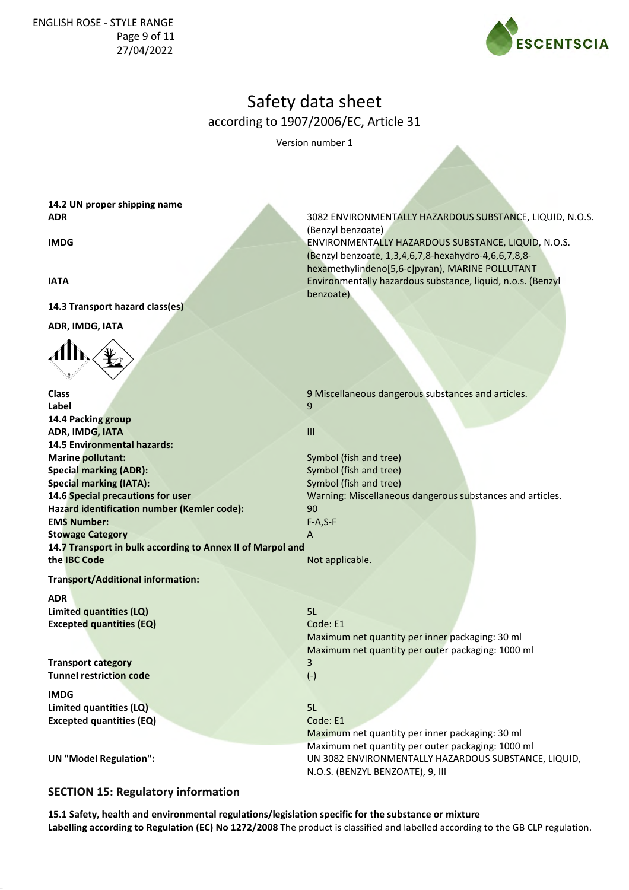

Version number 1

(Benzyl benzoate)

benzoate)

(Benzyl benzoate, 1,3,4,6,7,8-hexahydro-4,6,6,7,8,8 hexamethylindeno[5,6-c]pyran), MARINE POLLUTANT

**14.2 UN proper shipping name ADR** 3082 ENVIRONMENTALLY HAZARDOUS SUBSTANCE, LIQUID, N.O.S.

**IMDG ENVIRONMENTALLY HAZARDOUS SUBSTANCE, LIQUID, N.O.S. ENVIRONMENTALLY HAZARDOUS SUBSTANCE, LIQUID, N.O.S.** 

**IATA** Environmentally hazardous substance, liquid, n.o.s. (Benzyl

**14.3 Transport hazard class(es)**

**ADR, IMDG, IATA**



**Class 9 Miscellaneous dangerous substances and articles. 9 Miscellaneous dangerous substances and articles. Label** 9 **14.4 Packing group ADR, IMDG, IATA** IIII **14.5 Environmental hazards: Marine pollutant:** Symbol (fish and tree) **Special marking (ADR):** Symbol (fish and tree) **Special marking (IATA):** Symbol (fish and tree) **14.6 Special precautions for user** Warning: Miscellaneous dangerous substances and articles. **Hazard identification number (Kemler code):** 90 **EMS Number:** F-A,S-F **Stowage Category A 14.7 Transport in bulk according to Annex II of Marpol and the IBC Code** Not applicable. **Transport/Additional information:**

**ADR Limited quantities (LQ)** 5L **Excepted quantities (EQ)** Code: E1

**Transport category** 3 **Tunnel restriction code** (-)

**IMDG Limited quantities (LQ)** 5L **Excepted quantities (EQ)** Code: E1

# Maximum net quantity per inner packaging: 30 ml Maximum net quantity per outer packaging: 1000 ml

Maximum net quantity per inner packaging: 30 ml Maximum net quantity per outer packaging: 1000 ml **UN "Model Regulation":** UN 3082 ENVIRONMENTALLY HAZARDOUS SUBSTANCE, LIQUID, N.O.S. (BENZYL BENZOATE), 9, III

# **SECTION 15: Regulatory information**

**15.1 Safety, health and environmental regulations/legislation specific for the substance or mixture Labelling according to Regulation (EC) No 1272/2008** The product is classified and labelled according to the GB CLP regulation.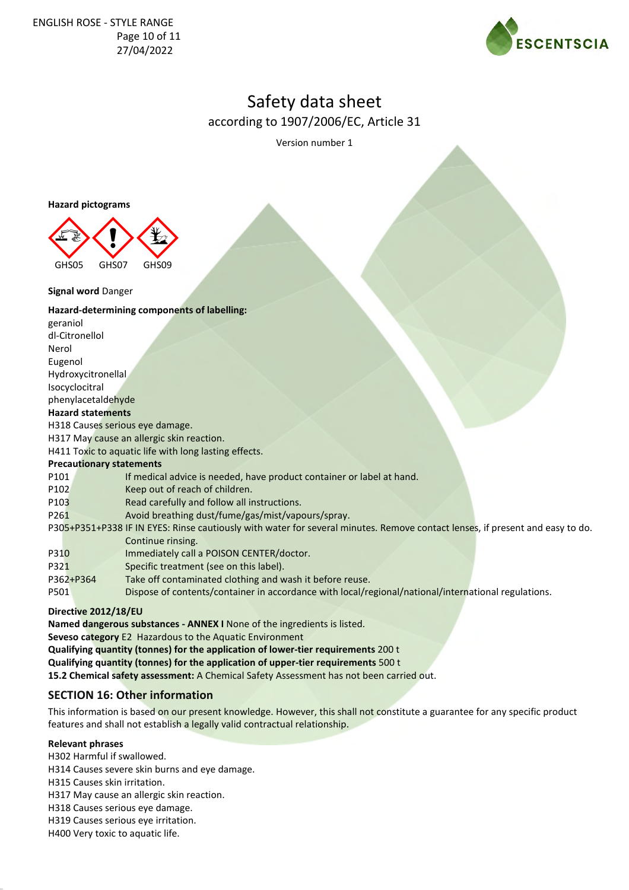

Version number 1

**Hazard pictograms**



**Signal word** Danger

### **Hazard-determining components of labelling:**

geraniol dl-Citronellol Nerol Eugenol Hydroxycitronellal Isocyclocitral phenylacetaldehyde **Hazard statements** H318 Causes serious eye damage. H317 May cause an allergic skin reaction. H411 Toxic to aquatic life with long lasting effects. **Precautionary statements** P101 If medical advice is needed, have product container or label at hand. P102 Keep out of reach of children. P103 Read carefully and follow all instructions. P261 Avoid breathing dust/fume/gas/mist/vapours/spray. P305+P351+P338 IF IN EYES: Rinse cautiously with water for several minutes. Remove contact lenses, if present and easy to do. Continue rinsing. P310 Immediately call a POISON CENTER/doctor. P321 Specific treatment (see on this label). P362+P364 Take off contaminated clothing and wash it before reuse. P501 Dispose of contents/container in accordance with local/regional/national/international regulations.

### **Directive 2012/18/EU**

**Named dangerous substances - ANNEX I** None of the ingredients is listed. **Seveso category** E2 Hazardous to the Aquatic Environment **Qualifying quantity (tonnes) for the application of lower-tier requirements** 200 t **Qualifying quantity (tonnes) for the application of upper-tier requirements** 500 t **15.2 Chemical safety assessment:** A Chemical Safety Assessment has not been carried out.

# **SECTION 16: Other information**

This information is based on our present knowledge. However, this shall not constitute a guarantee for any specific product features and shall not establish a legally valid contractual relationship.

**Relevant phrases**

H302 Harmful if swallowed.

H314 Causes severe skin burns and eye damage.

H315 Causes skin irritation.

H317 May cause an allergic skin reaction.

H318 Causes serious eye damage.

H319 Causes serious eye irritation.

H400 Very toxic to aquatic life.